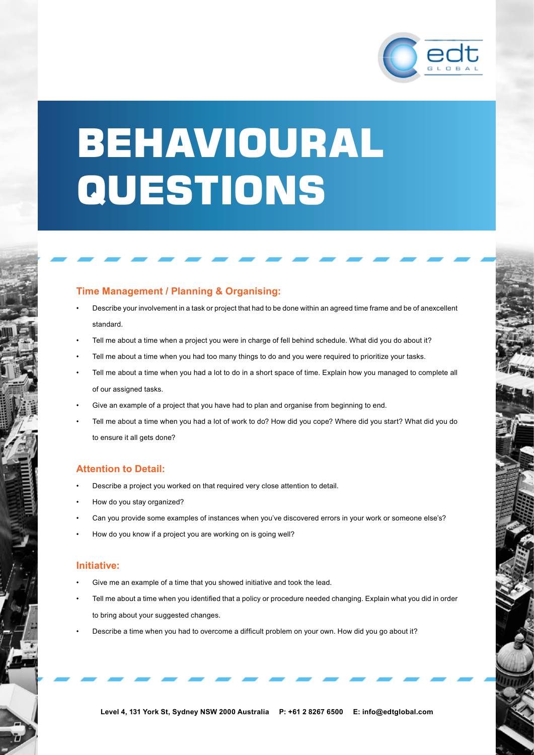

# BEHAVIOURAL QUESTIONS

# **Time Management / Planning & Organising:**

- Describe your involvement in a task or project that had to be done within an agreed time frame and be of anexcellent standard.
- Tell me about a time when a project you were in charge of fell behind schedule. What did you do about it?
- Tell me about a time when you had too many things to do and you were required to prioritize your tasks.
- Tell me about a time when you had a lot to do in a short space of time. Explain how you managed to complete all of our assigned tasks.
- Give an example of a project that you have had to plan and organise from beginning to end.
- Tell me about a time when you had a lot of work to do? How did you cope? Where did you start? What did you do to ensure it all gets done?

## **Attention to Detail:**

- Describe a project you worked on that required very close attention to detail.
- How do you stay organized?
- Can you provide some examples of instances when you've discovered errors in your work or someone else's?
- How do you know if a project you are working on is going well?

#### **Initiative:**

- Give me an example of a time that you showed initiative and took the lead.
- Tell me about a time when you identified that a policy or procedure needed changing. Explain what you did in order to bring about your suggested changes.
- Describe a time when you had to overcome a difficult problem on your own. How did you go about it?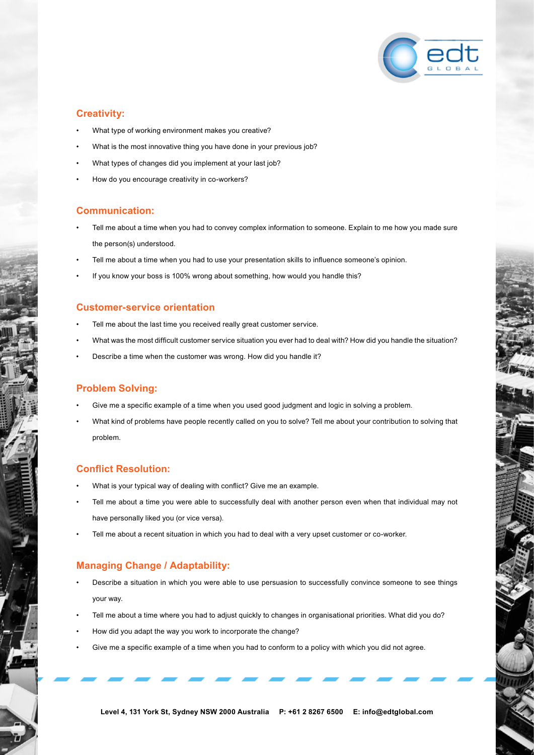

# **Creativity:**

- What type of working environment makes you creative?
- What is the most innovative thing you have done in your previous job?
- What types of changes did you implement at your last job?
- How do you encourage creativity in co-workers?

## **Communication:**

- Tell me about a time when you had to convey complex information to someone. Explain to me how you made sure the person(s) understood.
- Tell me about a time when you had to use your presentation skills to influence someone's opinion.
- If you know your boss is 100% wrong about something, how would you handle this?

## **Customer-service orientation**

- Tell me about the last time you received really great customer service.
- What was the most difficult customer service situation you ever had to deal with? How did you handle the situation?
- Describe a time when the customer was wrong. How did you handle it?

## **Problem Solving:**

- Give me a specific example of a time when you used good judgment and logic in solving a problem.
- What kind of problems have people recently called on you to solve? Tell me about your contribution to solving that problem.

## **Conflict Resolution:**

- What is your typical way of dealing with conflict? Give me an example.
- Tell me about a time you were able to successfully deal with another person even when that individual may not have personally liked you (or vice versa).
- Tell me about a recent situation in which you had to deal with a very upset customer or co-worker.

## **Managing Change / Adaptability:**

- Describe a situation in which you were able to use persuasion to successfully convince someone to see things your way.
- Tell me about a time where you had to adjust quickly to changes in organisational priorities. What did you do?
- How did you adapt the way you work to incorporate the change?
- Give me a specific example of a time when you had to conform to a policy with which you did not agree.